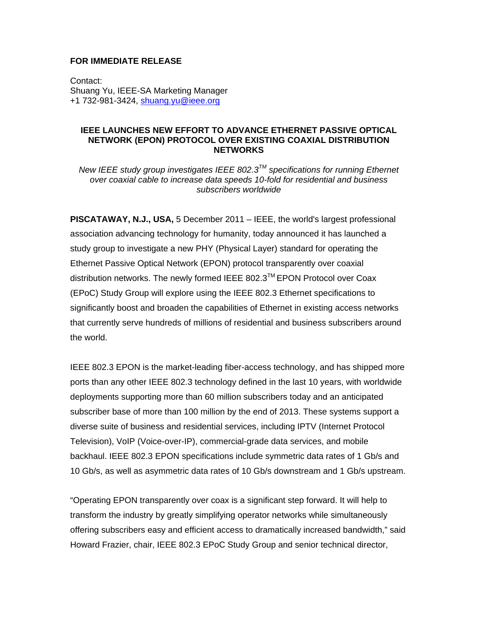## **FOR IMMEDIATE RELEASE**

Contact: Shuang Yu, IEEE-SA Marketing Manager +1 732-981-3424, shuang.yu@ieee.org

## **IEEE LAUNCHES NEW EFFORT TO ADVANCE ETHERNET PASSIVE OPTICAL NETWORK (EPON) PROTOCOL OVER EXISTING COAXIAL DISTRIBUTION NETWORKS**

*New IEEE study group investigates IEEE 802.3TM specifications for running Ethernet over coaxial cable to increase data speeds 10-fold for residential and business subscribers worldwide* 

**PISCATAWAY, N.J., USA,** 5 December 2011 – IEEE, the world's largest professional association advancing technology for humanity, today announced it has launched a study group to investigate a new PHY (Physical Layer) standard for operating the Ethernet Passive Optical Network (EPON) protocol transparently over coaxial distribution networks. The newly formed IEEE 802.3™ EPON Protocol over Coax (EPoC) Study Group will explore using the IEEE 802.3 Ethernet specifications to significantly boost and broaden the capabilities of Ethernet in existing access networks that currently serve hundreds of millions of residential and business subscribers around the world.

IEEE 802.3 EPON is the market-leading fiber-access technology, and has shipped more ports than any other IEEE 802.3 technology defined in the last 10 years, with worldwide deployments supporting more than 60 million subscribers today and an anticipated subscriber base of more than 100 million by the end of 2013. These systems support a diverse suite of business and residential services, including IPTV (Internet Protocol Television), VoIP (Voice-over-IP), commercial-grade data services, and mobile backhaul. IEEE 802.3 EPON specifications include symmetric data rates of 1 Gb/s and 10 Gb/s, as well as asymmetric data rates of 10 Gb/s downstream and 1 Gb/s upstream.

"Operating EPON transparently over coax is a significant step forward. It will help to transform the industry by greatly simplifying operator networks while simultaneously offering subscribers easy and efficient access to dramatically increased bandwidth," said Howard Frazier, chair, IEEE 802.3 EPoC Study Group and senior technical director,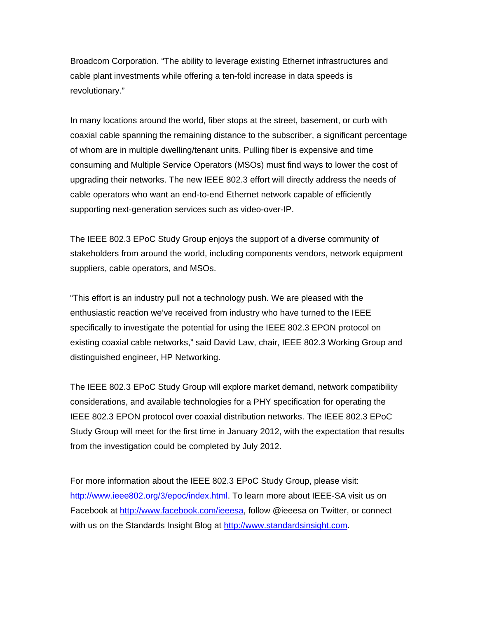Broadcom Corporation. "The ability to leverage existing Ethernet infrastructures and cable plant investments while offering a ten-fold increase in data speeds is revolutionary."

In many locations around the world, fiber stops at the street, basement, or curb with coaxial cable spanning the remaining distance to the subscriber, a significant percentage of whom are in multiple dwelling/tenant units. Pulling fiber is expensive and time consuming and Multiple Service Operators (MSOs) must find ways to lower the cost of upgrading their networks. The new IEEE 802.3 effort will directly address the needs of cable operators who want an end-to-end Ethernet network capable of efficiently supporting next-generation services such as video-over-IP.

The IEEE 802.3 EPoC Study Group enjoys the support of a diverse community of stakeholders from around the world, including components vendors, network equipment suppliers, cable operators, and MSOs.

"This effort is an industry pull not a technology push. We are pleased with the enthusiastic reaction we've received from industry who have turned to the IEEE specifically to investigate the potential for using the IEEE 802.3 EPON protocol on existing coaxial cable networks," said David Law, chair, IEEE 802.3 Working Group and distinguished engineer, HP Networking.

The IEEE 802.3 EPoC Study Group will explore market demand, network compatibility considerations, and available technologies for a PHY specification for operating the IEEE 802.3 EPON protocol over coaxial distribution networks. The IEEE 802.3 EPoC Study Group will meet for the first time in January 2012, with the expectation that results from the investigation could be completed by July 2012.

For more information about the IEEE 802.3 EPoC Study Group, please visit: http://www.ieee802.org/3/epoc/index.html. To learn more about IEEE-SA visit us on Facebook at http://www.facebook.com/ieeesa, follow @ieeesa on Twitter, or connect with us on the Standards Insight Blog at http://www.standardsinsight.com.